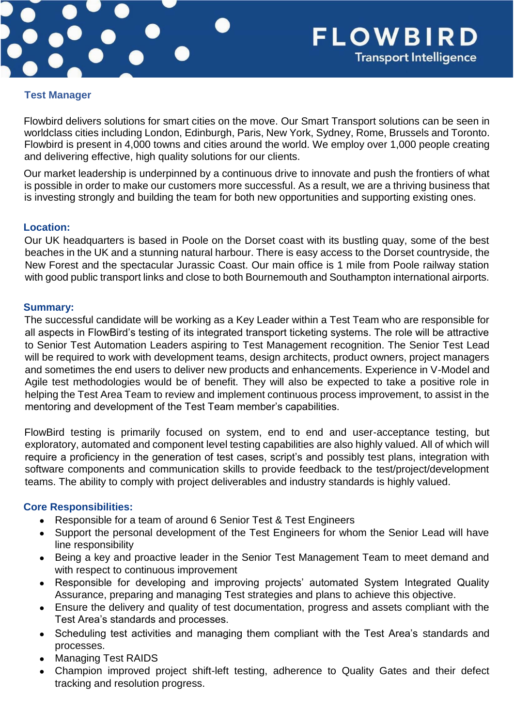

#### **Test Manager**

Flowbird delivers solutions for smart cities on the move. Our Smart Transport solutions can be seen in worldclass cities including London, Edinburgh, Paris, New York, Sydney, Rome, Brussels and Toronto. Flowbird is present in 4,000 towns and cities around the world. We employ over 1,000 people creating and delivering effective, high quality solutions for our clients.

Our market leadership is underpinned by a continuous drive to innovate and push the frontiers of what is possible in order to make our customers more successful. As a result, we are a thriving business that is investing strongly and building the team for both new opportunities and supporting existing ones.

### **Location:**

Our UK headquarters is based in Poole on the Dorset coast with its bustling quay, some of the best beaches in the UK and a stunning natural harbour. There is easy access to the Dorset countryside, the New Forest and the spectacular Jurassic Coast. Our main office is 1 mile from Poole railway station with good public transport links and close to both Bournemouth and Southampton international airports.

### **Summary:**

The successful candidate will be working as a Key Leader within a Test Team who are responsible for all aspects in FlowBird's testing of its integrated transport ticketing systems. The role will be attractive to Senior Test Automation Leaders aspiring to Test Management recognition. The Senior Test Lead will be required to work with development teams, design architects, product owners, project managers and sometimes the end users to deliver new products and enhancements. Experience in V-Model and Agile test methodologies would be of benefit. They will also be expected to take a positive role in helping the Test Area Team to review and implement continuous process improvement, to assist in the mentoring and development of the Test Team member's capabilities.

FlowBird testing is primarily focused on system, end to end and user-acceptance testing, but exploratory, automated and component level testing capabilities are also highly valued. All of which will require a proficiency in the generation of test cases, script's and possibly test plans, integration with software components and communication skills to provide feedback to the test/project/development teams. The ability to comply with project deliverables and industry standards is highly valued.

# **Core Responsibilities:**

- Responsible for a team of around 6 Senior Test & Test Engineers
- Support the personal development of the Test Engineers for whom the Senior Lead will have line responsibility
- Being a key and proactive leader in the Senior Test Management Team to meet demand and with respect to continuous improvement
- Responsible for developing and improving projects' automated System Integrated Quality Assurance, preparing and managing Test strategies and plans to achieve this objective.
- Ensure the delivery and quality of test documentation, progress and assets compliant with the Test Area's standards and processes.
- Scheduling test activities and managing them compliant with the Test Area's standards and processes.
- **Managing Test RAIDS**
- Champion improved project shift-left testing, adherence to Quality Gates and their defect tracking and resolution progress.